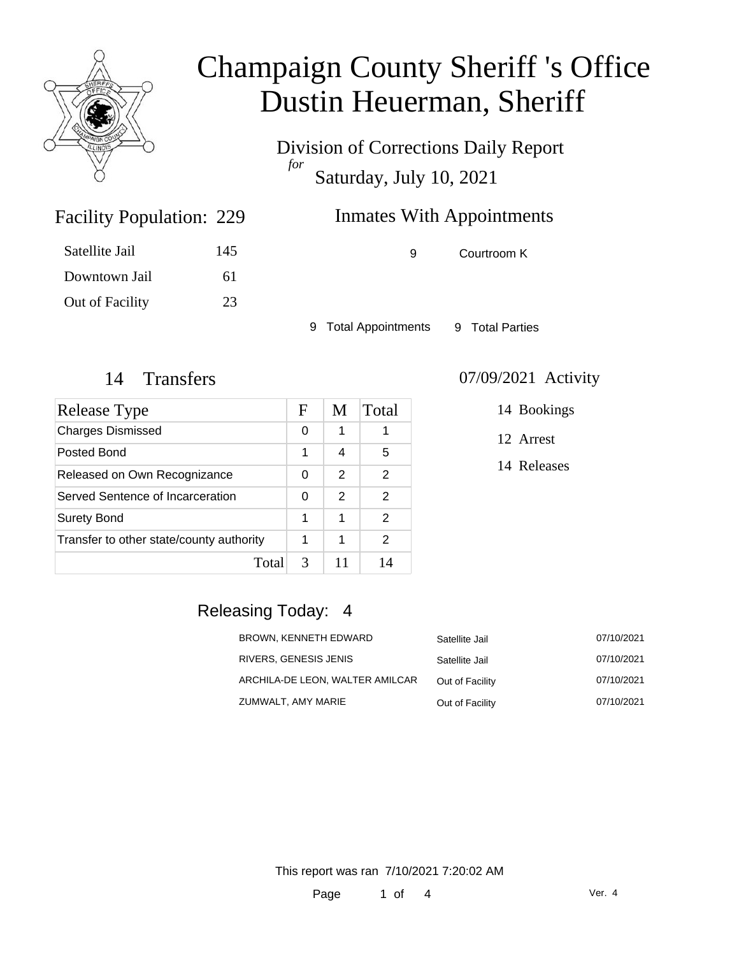

Division of Corrections Daily Report *for* Saturday, July 10, 2021

### Inmates With Appointments

Satellite Jail 145 Downtown Jail 61 Out of Facility 23

Facility Population: 229

9 Courtroom K

9 Total Appointments 9 Total Parties

| Release Type                             | F | M | Total |
|------------------------------------------|---|---|-------|
| <b>Charges Dismissed</b>                 | 0 | 1 |       |
| Posted Bond                              | 1 | 4 | 5     |
| Released on Own Recognizance             | 0 | 2 | 2     |
| Served Sentence of Incarceration         | 0 | 2 | 2     |
| <b>Surety Bond</b>                       | 1 | 1 | 2     |
| Transfer to other state/county authority | 1 | 1 | 2     |
| Total                                    | 3 |   | 14    |

#### 14 Transfers 07/09/2021 Activity

14 Bookings

12 Arrest

14 Releases

### Releasing Today: 4

| BROWN, KENNETH EDWARD           | Satellite Jail  | 07/10/2021 |
|---------------------------------|-----------------|------------|
| RIVERS, GENESIS JENIS           | Satellite Jail  | 07/10/2021 |
| ARCHILA-DE LEON, WALTER AMILCAR | Out of Facility | 07/10/2021 |
| ZUMWALT, AMY MARIE              | Out of Facility | 07/10/2021 |

This report was ran 7/10/2021 7:20:02 AM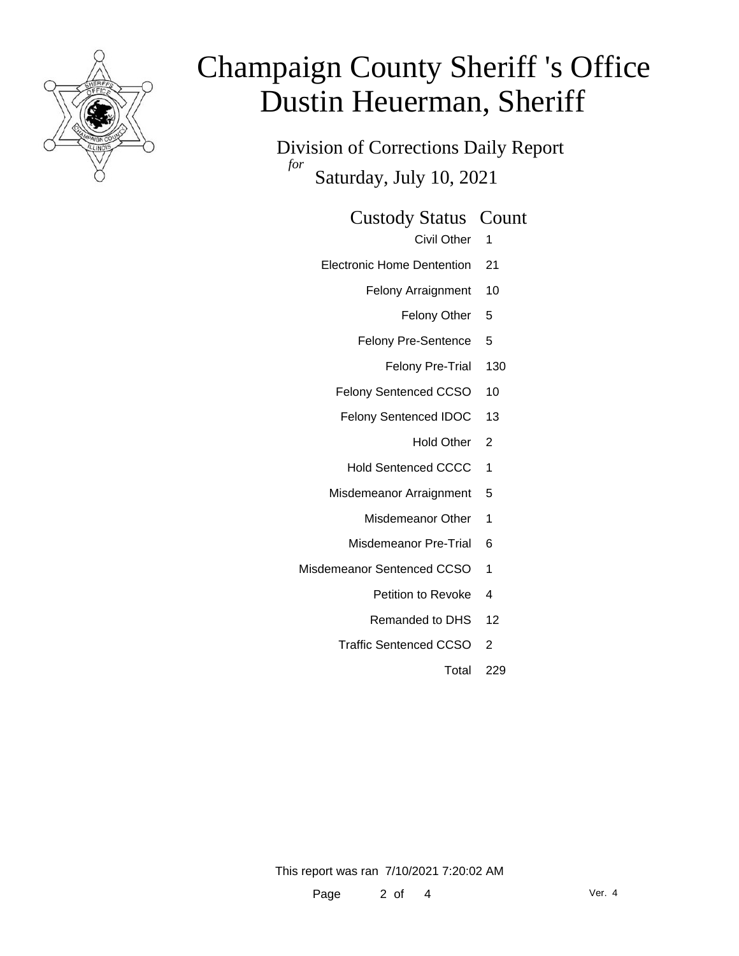

Division of Corrections Daily Report *for* Saturday, July 10, 2021

#### Custody Status Count

- Civil Other 1
- Electronic Home Dentention 21
	- Felony Arraignment 10
		- Felony Other 5
	- Felony Pre-Sentence 5
		- Felony Pre-Trial 130
	- Felony Sentenced CCSO 10
	- Felony Sentenced IDOC 13
		- Hold Other 2
		- Hold Sentenced CCCC 1
	- Misdemeanor Arraignment 5
		- Misdemeanor Other 1
		- Misdemeanor Pre-Trial 6
- Misdemeanor Sentenced CCSO 1
	- Petition to Revoke 4
	- Remanded to DHS 12
	- Traffic Sentenced CCSO 2
		- Total 229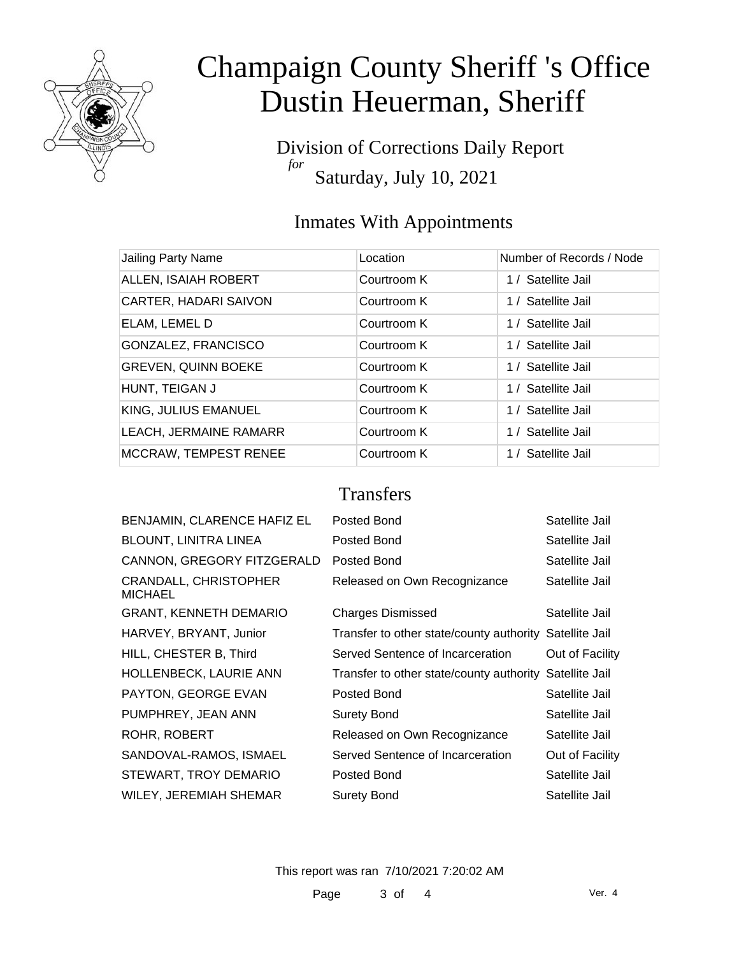

Division of Corrections Daily Report *for* Saturday, July 10, 2021

### Inmates With Appointments

| <b>Jailing Party Name</b>    | Location    | Number of Records / Node |
|------------------------------|-------------|--------------------------|
| ALLEN, ISAIAH ROBERT         | Courtroom K | 1 / Satellite Jail       |
| <b>CARTER, HADARI SAIVON</b> | Courtroom K | 1 / Satellite Jail       |
| ELAM, LEMEL D                | Courtroom K | 1 / Satellite Jail       |
| GONZALEZ, FRANCISCO          | Courtroom K | 1 / Satellite Jail       |
| <b>GREVEN, QUINN BOEKE</b>   | Courtroom K | 1 / Satellite Jail       |
| HUNT, TEIGAN J               | Courtroom K | 1 / Satellite Jail       |
| KING, JULIUS EMANUEL         | Courtroom K | 1 / Satellite Jail       |
| LEACH, JERMAINE RAMARR       | Courtroom K | 1 / Satellite Jail       |
| <b>MCCRAW, TEMPEST RENEE</b> | Courtroom K | 1 / Satellite Jail       |
|                              |             |                          |

### **Transfers**

| BENJAMIN, CLARENCE HAFIZ EL                    | Posted Bond                                             | Satellite Jail  |
|------------------------------------------------|---------------------------------------------------------|-----------------|
| <b>BLOUNT, LINITRA LINEA</b>                   | Posted Bond                                             | Satellite Jail  |
| CANNON, GREGORY FITZGERALD                     | Posted Bond                                             | Satellite Jail  |
| <b>CRANDALL, CHRISTOPHER</b><br><b>MICHAEL</b> | Released on Own Recognizance                            | Satellite Jail  |
| <b>GRANT, KENNETH DEMARIO</b>                  | <b>Charges Dismissed</b>                                | Satellite Jail  |
| HARVEY, BRYANT, Junior                         | Transfer to other state/county authority Satellite Jail |                 |
| HILL, CHESTER B, Third                         | Served Sentence of Incarceration                        | Out of Facility |
| HOLLENBECK, LAURIE ANN                         | Transfer to other state/county authority Satellite Jail |                 |
| PAYTON, GEORGE EVAN                            | Posted Bond                                             | Satellite Jail  |
| PUMPHREY, JEAN ANN                             | <b>Surety Bond</b>                                      | Satellite Jail  |
| ROHR, ROBERT                                   | Released on Own Recognizance                            | Satellite Jail  |
| SANDOVAL-RAMOS, ISMAEL                         | Served Sentence of Incarceration                        | Out of Facility |
| STEWART, TROY DEMARIO                          | Posted Bond                                             | Satellite Jail  |
| WILEY, JEREMIAH SHEMAR                         | <b>Surety Bond</b>                                      | Satellite Jail  |